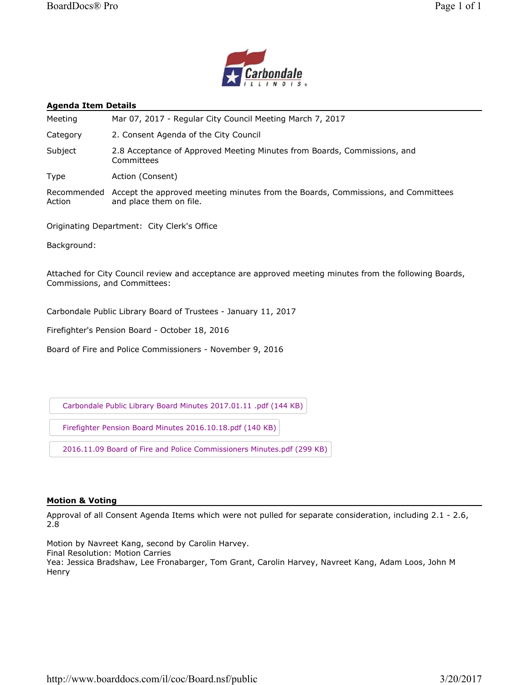



#### **Agenda Item Details**

| Meeting               | Mar 07, 2017 - Regular City Council Meeting March 7, 2017                                                   |
|-----------------------|-------------------------------------------------------------------------------------------------------------|
| Category              | 2. Consent Agenda of the City Council                                                                       |
| Subject               | 2.8 Acceptance of Approved Meeting Minutes from Boards, Commissions, and<br>Committees                      |
| Type                  | Action (Consent)                                                                                            |
| Recommended<br>Action | Accept the approved meeting minutes from the Boards, Commissions, and Committees<br>and place them on file. |

Originating Department: City Clerk's Office

Background:

Attached for City Council review and acceptance are approved meeting minutes from the following Boards, Commissions, and Committees:

Carbondale Public Library Board of Trustees - January 11, 2017

Firefighter's Pension Board - October 18, 2016

Board of Fire and Police Commissioners - November 9, 2016

Carbondale Public Library Board Minutes 2017.01.11 .pdf (144 KB)

Firefighter Pension Board Minutes 2016.10.18.pdf (140 KB)

2016.11.09 Board of Fire and Police Commissioners Minutes.pdf (299 KB)

#### **Motion & Voting**

Approval of all Consent Agenda Items which were not pulled for separate consideration, including 2.1 - 2.6, 2.8

Motion by Navreet Kang, second by Carolin Harvey. Final Resolution: Motion Carries Yea: Jessica Bradshaw, Lee Fronabarger, Tom Grant, Carolin Harvey, Navreet Kang, Adam Loos, John M **Henry**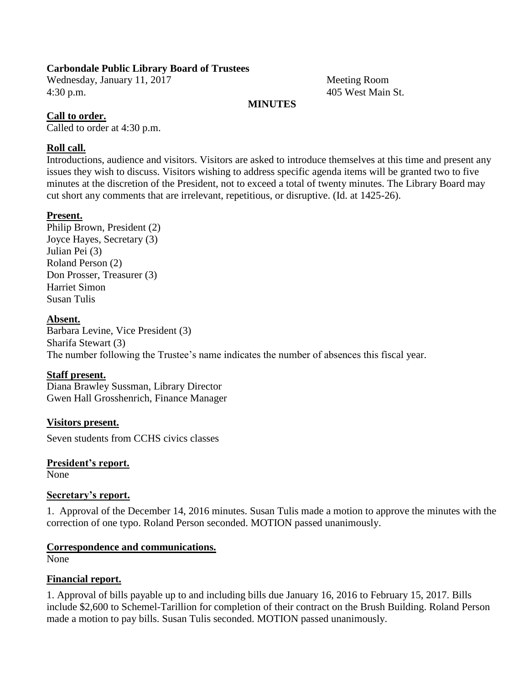# **Carbondale Public Library Board of Trustees**

Wednesday, January 11, 2017 Meeting Room 4:30 p.m. 405 West Main St.

# **MINUTES**

# **Call to order.**

Called to order at 4:30 p.m.

# **Roll call.**

Introductions, audience and visitors. Visitors are asked to introduce themselves at this time and present any issues they wish to discuss. Visitors wishing to address specific agenda items will be granted two to five minutes at the discretion of the President, not to exceed a total of twenty minutes. The Library Board may cut short any comments that are irrelevant, repetitious, or disruptive. (Id. at 1425-26).

## **Present.**

Philip Brown, President (2) Joyce Hayes, Secretary (3) Julian Pei (3) Roland Person (2) Don Prosser, Treasurer (3) Harriet Simon Susan Tulis

# **Absent.**

Barbara Levine, Vice President (3) Sharifa Stewart (3) The number following the Trustee's name indicates the number of absences this fiscal year.

# **Staff present.**

Diana Brawley Sussman, Library Director Gwen Hall Grosshenrich, Finance Manager

**Visitors present.** Seven students from CCHS civics classes

**President's report.** None

## **Secretary's report.**

1. Approval of the December 14, 2016 minutes. Susan Tulis made a motion to approve the minutes with the correction of one typo. Roland Person seconded. MOTION passed unanimously.

## **Correspondence and communications.**

None

## **Financial report.**

1. Approval of bills payable up to and including bills due January 16, 2016 to February 15, 2017. Bills include \$2,600 to Schemel-Tarillion for completion of their contract on the Brush Building. Roland Person made a motion to pay bills. Susan Tulis seconded. MOTION passed unanimously.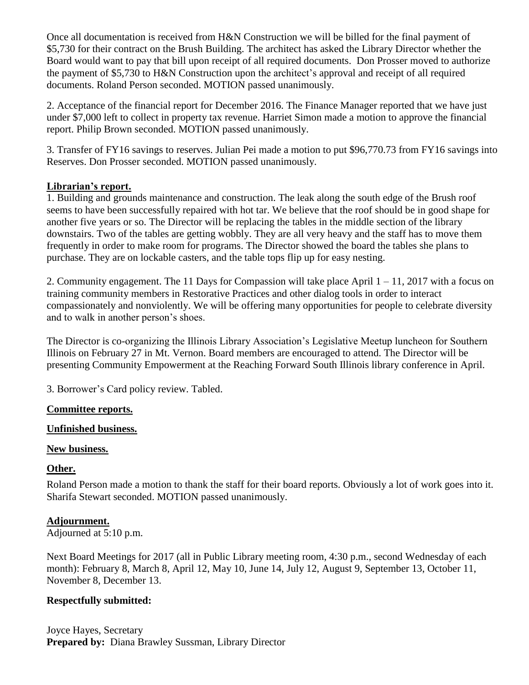Once all documentation is received from H&N Construction we will be billed for the final payment of \$5,730 for their contract on the Brush Building. The architect has asked the Library Director whether the Board would want to pay that bill upon receipt of all required documents. Don Prosser moved to authorize the payment of \$5,730 to H&N Construction upon the architect's approval and receipt of all required documents. Roland Person seconded. MOTION passed unanimously.

2. Acceptance of the financial report for December 2016. The Finance Manager reported that we have just under \$7,000 left to collect in property tax revenue. Harriet Simon made a motion to approve the financial report. Philip Brown seconded. MOTION passed unanimously.

3. Transfer of FY16 savings to reserves. Julian Pei made a motion to put \$96,770.73 from FY16 savings into Reserves. Don Prosser seconded. MOTION passed unanimously.

# **Librarian's report.**

1. Building and grounds maintenance and construction. The leak along the south edge of the Brush roof seems to have been successfully repaired with hot tar. We believe that the roof should be in good shape for another five years or so. The Director will be replacing the tables in the middle section of the library downstairs. Two of the tables are getting wobbly. They are all very heavy and the staff has to move them frequently in order to make room for programs. The Director showed the board the tables she plans to purchase. They are on lockable casters, and the table tops flip up for easy nesting.

2. Community engagement. The 11 Days for Compassion will take place April 1 – 11, 2017 with a focus on training community members in Restorative Practices and other dialog tools in order to interact compassionately and nonviolently. We will be offering many opportunities for people to celebrate diversity and to walk in another person's shoes.

The Director is co-organizing the Illinois Library Association's Legislative Meetup luncheon for Southern Illinois on February 27 in Mt. Vernon. Board members are encouraged to attend. The Director will be presenting Community Empowerment at the Reaching Forward South Illinois library conference in April.

3. Borrower's Card policy review. Tabled.

## **Committee reports.**

## **Unfinished business.**

## **New business.**

## **Other.**

Roland Person made a motion to thank the staff for their board reports. Obviously a lot of work goes into it. Sharifa Stewart seconded. MOTION passed unanimously.

## **Adjournment.**

## Adjourned at 5:10 p.m.

Next Board Meetings for 2017 (all in Public Library meeting room, 4:30 p.m., second Wednesday of each month): February 8, March 8, April 12, May 10, June 14, July 12, August 9, September 13, October 11, November 8, December 13.

## **Respectfully submitted:**

Joyce Hayes, Secretary **Prepared by:** Diana Brawley Sussman, Library Director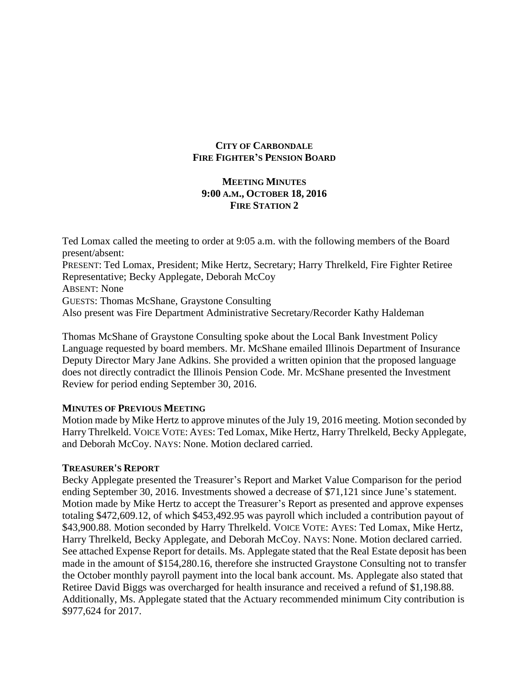## **CITY OF CARBONDALE FIRE FIGHTER'S PENSION BOARD**

# **MEETING MINUTES 9:00 A.M., OCTOBER 18, 2016 FIRE STATION 2**

Ted Lomax called the meeting to order at 9:05 a.m. with the following members of the Board present/absent: PRESENT: Ted Lomax, President; Mike Hertz, Secretary; Harry Threlkeld, Fire Fighter Retiree Representative; Becky Applegate, Deborah McCoy ABSENT: None GUESTS: Thomas McShane, Graystone Consulting Also present was Fire Department Administrative Secretary/Recorder Kathy Haldeman

Thomas McShane of Graystone Consulting spoke about the Local Bank Investment Policy Language requested by board members. Mr. McShane emailed Illinois Department of Insurance Deputy Director Mary Jane Adkins. She provided a written opinion that the proposed language does not directly contradict the Illinois Pension Code. Mr. McShane presented the Investment Review for period ending September 30, 2016.

## **MINUTES OF PREVIOUS MEETING**

Motion made by Mike Hertz to approve minutes of the July 19, 2016 meeting. Motion seconded by Harry Threlkeld. VOICE VOTE: AYES: Ted Lomax, Mike Hertz, Harry Threlkeld, Becky Applegate, and Deborah McCoy. NAYS: None. Motion declared carried.

## **TREASURER'S REPORT**

Becky Applegate presented the Treasurer's Report and Market Value Comparison for the period ending September 30, 2016. Investments showed a decrease of \$71,121 since June's statement. Motion made by Mike Hertz to accept the Treasurer's Report as presented and approve expenses totaling \$472,609.12, of which \$453,492.95 was payroll which included a contribution payout of \$43,900.88. Motion seconded by Harry Threlkeld. VOICE VOTE: AYES: Ted Lomax, Mike Hertz, Harry Threlkeld, Becky Applegate, and Deborah McCoy. NAYS: None. Motion declared carried. See attached Expense Report for details. Ms. Applegate stated that the Real Estate deposit has been made in the amount of \$154,280.16, therefore she instructed Graystone Consulting not to transfer the October monthly payroll payment into the local bank account. Ms. Applegate also stated that Retiree David Biggs was overcharged for health insurance and received a refund of \$1,198.88. Additionally, Ms. Applegate stated that the Actuary recommended minimum City contribution is \$977,624 for 2017.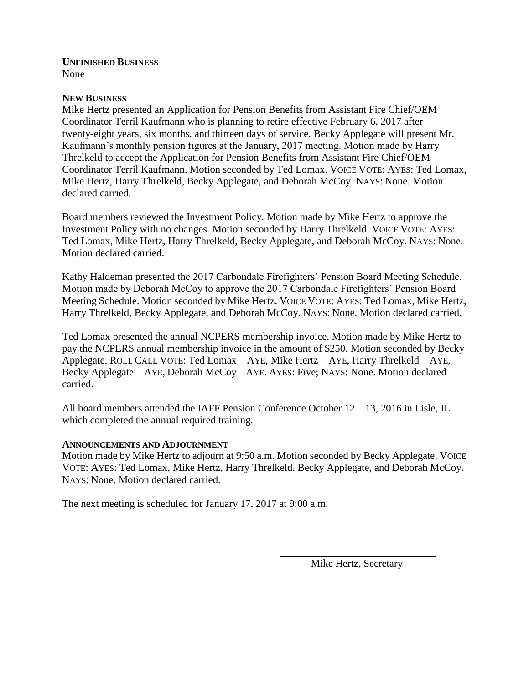#### **UNFINISHED BUSINESS** None

# **NEW BUSINESS**

Mike Hertz presented an Application for Pension Benefits from Assistant Fire Chief/OEM Coordinator Terril Kaufmann who is planning to retire effective February 6, 2017 after twenty-eight years, six months, and thirteen days of service. Becky Applegate will present Mr. Kaufmann's monthly pension figures at the January, 2017 meeting. Motion made by Harry Threlkeld to accept the Application for Pension Benefits from Assistant Fire Chief/OEM Coordinator Terril Kaufmann. Motion seconded by Ted Lomax. VOICE VOTE: AYES: Ted Lomax, Mike Hertz, Harry Threlkeld, Becky Applegate, and Deborah McCoy. NAYS: None. Motion declared carried.

Board members reviewed the Investment Policy. Motion made by Mike Hertz to approve the Investment Policy with no changes. Motion seconded by Harry Threlkeld. VOICE VOTE: AYES: Ted Lomax, Mike Hertz, Harry Threlkeld, Becky Applegate, and Deborah McCoy. NAYS: None. Motion declared carried.

Kathy Haldeman presented the 2017 Carbondale Firefighters' Pension Board Meeting Schedule. Motion made by Deborah McCoy to approve the 2017 Carbondale Firefighters' Pension Board Meeting Schedule. Motion seconded by Mike Hertz. VOICE VOTE: AYES: Ted Lomax, Mike Hertz, Harry Threlkeld, Becky Applegate, and Deborah McCoy. NAYS: None. Motion declared carried.

Ted Lomax presented the annual NCPERS membership invoice. Motion made by Mike Hertz to pay the NCPERS annual membership invoice in the amount of \$250. Motion seconded by Becky Applegate. ROLL CALL VOTE: Ted Lomax – AYE, Mike Hertz – AYE, Harry Threlkeld – AYE, Becky Applegate – AYE, Deborah McCoy – AYE. AYES: Five; NAYS: None. Motion declared carried.

All board members attended the IAFF Pension Conference October 12 – 13, 2016 in Lisle, IL which completed the annual required training.

## **ANNOUNCEMENTS AND ADJOURNMENT**

Motion made by Mike Hertz to adjourn at 9:50 a.m. Motion seconded by Becky Applegate. VOICE VOTE: AYES: Ted Lomax, Mike Hertz, Harry Threlkeld, Becky Applegate, and Deborah McCoy. NAYS: None. Motion declared carried.

The next meeting is scheduled for January 17, 2017 at 9:00 a.m.

Mike Hertz, Secretary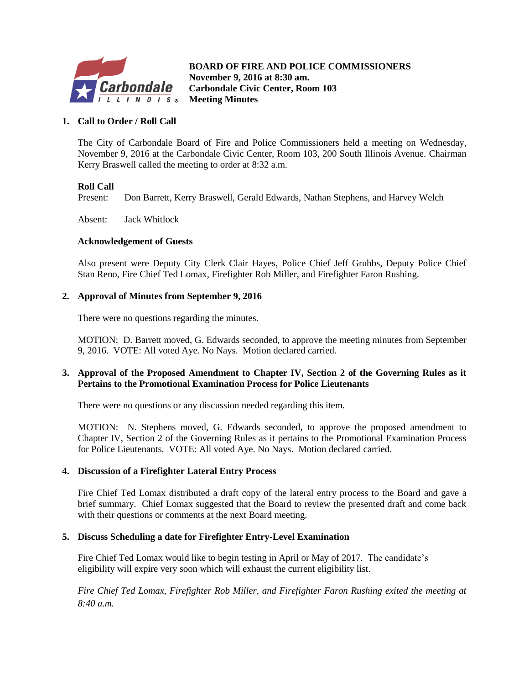

**B BOARD OF FIRE AND POLICE COMMISSIONERS November 9, 2016 at 8:30 am. Carbondale Civic Center, Room 103 Meeting Minutes**

#### **1. Call to Order / Roll Call**

The City of Carbondale Board of Fire and Police Commissioners held a meeting on Wednesday, November 9, 2016 at the Carbondale Civic Center, Room 103, 200 South Illinois Avenue. Chairman Kerry Braswell called the meeting to order at 8:32 a.m.

#### **Roll Call**

Present: Don Barrett, Kerry Braswell, Gerald Edwards, Nathan Stephens, and Harvey Welch

Absent: Jack Whitlock

#### **Acknowledgement of Guests**

Also present were Deputy City Clerk Clair Hayes, Police Chief Jeff Grubbs, Deputy Police Chief Stan Reno, Fire Chief Ted Lomax, Firefighter Rob Miller, and Firefighter Faron Rushing.

#### **2. Approval of Minutes from September 9, 2016**

There were no questions regarding the minutes.

MOTION: D. Barrett moved, G. Edwards seconded, to approve the meeting minutes from September 9, 2016. VOTE: All voted Aye. No Nays. Motion declared carried.

#### **3. Approval of the Proposed Amendment to Chapter IV, Section 2 of the Governing Rules as it Pertains to the Promotional Examination Process for Police Lieutenants**

There were no questions or any discussion needed regarding this item.

MOTION: N. Stephens moved, G. Edwards seconded, to approve the proposed amendment to Chapter IV, Section 2 of the Governing Rules as it pertains to the Promotional Examination Process for Police Lieutenants. VOTE: All voted Aye. No Nays. Motion declared carried.

#### **4. Discussion of a Firefighter Lateral Entry Process**

Fire Chief Ted Lomax distributed a draft copy of the lateral entry process to the Board and gave a brief summary. Chief Lomax suggested that the Board to review the presented draft and come back with their questions or comments at the next Board meeting.

#### **5. Discuss Scheduling a date for Firefighter Entry-Level Examination**

Fire Chief Ted Lomax would like to begin testing in April or May of 2017. The candidate's eligibility will expire very soon which will exhaust the current eligibility list.

*Fire Chief Ted Lomax, Firefighter Rob Miller, and Firefighter Faron Rushing exited the meeting at 8:40 a.m.*